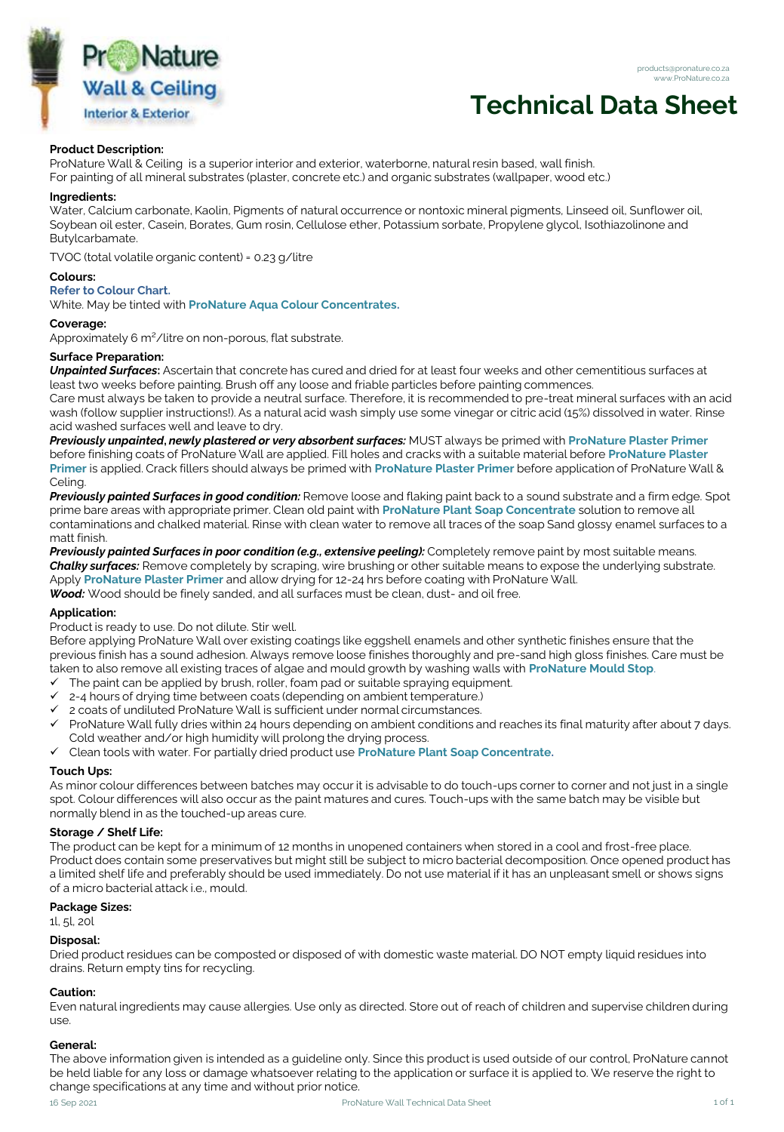

#### products@pronature.co.za www.ProNature.co.za

# **Technical Data Sheet**

### **Product Description:**

ProNature Wall & Ceiling is a superior interior and exterior, waterborne, natural resin based, wall finish. For painting of all mineral substrates (plaster, concrete etc.) and organic substrates (wallpaper, wood etc.)

#### **Ingredients:**

Water, Calcium carbonate, Kaolin, Pigments of natural occurrence or nontoxic mineral pigments, Linseed oil, Sunflower oil, Soybean oil ester, Casein, Borates, Gum rosin, Cellulose ether, Potassium sorbate, Propylene glycol, Isothiazolinone and Butylcarbamate.

TVOC (total volatile organic content) = 0.23 g/litre

#### **Colours:**

### **Refer to Colour Chart.**

White. May be tinted with **ProNature Aqua Colour Concentrates.**

### **Coverage:**

Approximately 6 m<sup>2</sup>/litre on non-porous, flat substrate.

# **Surface Preparation:**

*Unpainted Surfaces***:** Ascertain that concrete has cured and dried for at least four weeks and other cementitious surfaces at least two weeks before painting. Brush off any loose and friable particles before painting commences.

Care must always be taken to provide a neutral surface. Therefore, it is recommended to pre-treat mineral surfaces with an acid wash (follow supplier instructions!). As a natural acid wash simply use some vinegar or citric acid (15%) dissolved in water. Rinse acid washed surfaces well and leave to dry.

*Previously unpainted***,** *newly plastered or very absorbent surfaces:* MUST always be primed with **ProNature Plaster Primer**  before finishing coats of ProNature Wall are applied. Fill holes and cracks with a suitable material before **ProNature Plaster Primer** is applied. Crack fillers should always be primed with **ProNature Plaster Primer** before application of ProNature Wall & Celing.

*Previously painted Surfaces in good condition:* Remove loose and flaking paint back to a sound substrate and a firm edge. Spot prime bare areas with appropriate primer. Clean old paint with **ProNature Plant Soap Concentrate** solution to remove all contaminations and chalked material. Rinse with clean water to remove all traces of the soap Sand glossy enamel surfaces to a matt finish.

*Previously painted Surfaces in poor condition (e.g., extensive peeling):* Completely remove paint by most suitable means. *Chalky surfaces:* Remove completely by scraping, wire brushing or other suitable means to expose the underlying substrate. Apply **ProNature Plaster Primer** and allow drying for 12-24 hrs before coating with ProNature Wall. *Wood:* Wood should be finely sanded, and all surfaces must be clean, dust- and oil free.

# **Application:**

Product is ready to use. Do not dilute. Stir well.

Before applying ProNature Wall over existing coatings like eggshell enamels and other synthetic finishes ensure that the previous finish has a sound adhesion. Always remove loose finishes thoroughly and pre-sand high gloss finishes. Care must be taken to also remove all existing traces of algae and mould growth by washing walls with **ProNature Mould Stop**.

- The paint can be applied by brush, roller, foam pad or suitable spraying equipment.
- $\checkmark$  2-4 hours of drying time between coats (depending on ambient temperature.)
- 2 coats of undiluted ProNature Wall is sufficient under normal circumstances.
- ✓ ProNature Wall fully dries within 24 hours depending on ambient conditions and reaches its final maturity after about 7 days. Cold weather and/or high humidity will prolong the drying process.
- ✓ Clean tools with water. For partially dried product use **ProNature Plant Soap Concentrate.**

#### **Touch Ups:**

As minor colour differences between batches may occur it is advisable to do touch-ups corner to corner and not just in a single spot. Colour differences will also occur as the paint matures and cures. Touch-ups with the same batch may be visible but normally blend in as the touched-up areas cure.

# **Storage / Shelf Life:**

The product can be kept for a minimum of 12 months in unopened containers when stored in a cool and frost-free place. Product does contain some preservatives but might still be subject to micro bacterial decomposition. Once opened product has a limited shelf life and preferably should be used immediately. Do not use material if it has an unpleasant smell or shows signs of a micro bacterial attack i.e., mould.

### **Package Sizes:**

1l, 5l, 20l

# **Disposal:**

Dried product residues can be composted or disposed of with domestic waste material. DO NOT empty liquid residues into drains. Return empty tins for recycling.

# **Caution:**

Even natural ingredients may cause allergies. Use only as directed. Store out of reach of children and supervise children during use.

#### **General:**

The above information given is intended as a guideline only. Since this product is used outside of our control, ProNature cannot be held liable for any loss or damage whatsoever relating to the application or surface it is applied to. We reserve the right to change specifications at any time and without prior notice.